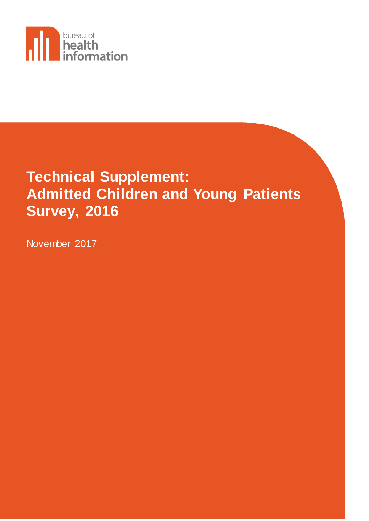

# **Technical Supplement: Admitted Children and Young Patients Survey, 2016**

November 2017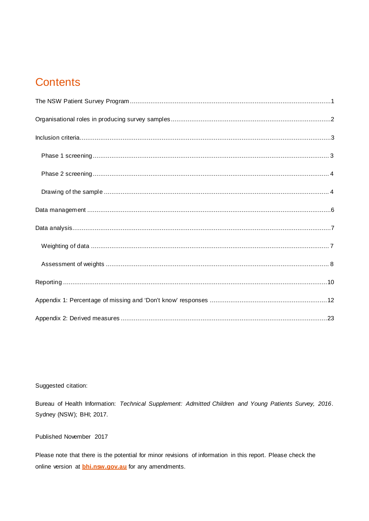## **Contents**

## Suggested citation:

Bureau of Health Information: Technical Supplement: Admitted Children and Young Patients Survey, 2016. Sydney (NSW); BHI; 2017.

## Published November 2017

Please note that there is the potential for minor revisions of information in this report. Please check the online version at **bhi.nsw.gov.au** for any amendments.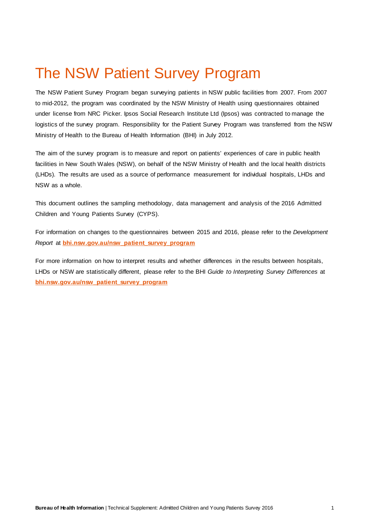## <span id="page-2-0"></span>The NSW Patient Survey Program

The NSW Patient Survey Program began surveying patients in NSW public facilities from 2007. From 2007 to mid-2012, the program was coordinated by the NSW Ministry of Health using questionnaires obtained under license from NRC Picker. Ipsos Social Research Institute Ltd (Ipsos) was contracted to manage the logistics of the survey program. Responsibility for the Patient Survey Program was transferred from the NSW Ministry of Health to the Bureau of Health Information (BHI) in July 2012.

The aim of the survey program is to measure and report on patients' experiences of care in public health facilities in New South Wales (NSW), on behalf of the NSW Ministry of Health and the local health districts (LHDs). The results are used as a source of performance measurement for individual hospitals, LHDs and NSW as a whole.

This document outlines the sampling methodology, data management and analysis of the 2016 Admitted Children and Young Patients Survey (CYPS).

For information on changes to the questionnaires between 2015 and 2016, please refer to the *Development Report* at **[bhi.nsw.gov.au/nsw\\_patient\\_survey\\_program](http://www.bhi.nsw.gov.au/nsw_patient_survey_program)**

For more information on how to interpret results and whether differences in the results between hospitals, LHDs or NSW are statistically different, please refer to the BHI *Guide to Interpreting Survey Differences* at **[bhi.nsw.gov.au/nsw\\_patient\\_survey\\_program](http://www.bhi.nsw.gov.au/nsw_patient_survey_program)**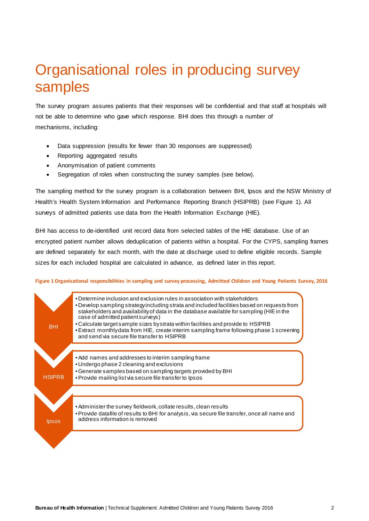## <span id="page-3-0"></span>Organisational roles in producing survey samples

The survey program assures patients that their responses will be confidential and that staff at hospitals will not be able to determine who gave which response. BHI does this through a number of mechanisms, including:

- Data suppression (results for fewer than 30 responses are suppressed)
- Reporting aggregated results
- Anonymisation of patient comments
- Segregation of roles when constructing the survey samples (see below).

The sampling method for the survey program is a collaboration between BHI, Ipsos and the NSW Ministry of Health's Health System Information and Performance Reporting Branch (HSIPRB) (see Figure 1). All surveys of admitted patients use data from the Health Information Exchange (HIE).

BHI has access to de-identified unit record data from selected tables of the HIE database. Use of an encrypted patient number allows deduplication of patients within a hospital. For the CYPS, sampling frames are defined separately for each month, with the date at discharge used to define eligible records. Sample sizes for each included hospital are calculated in advance, as defined later in this report.

### **Figure 1Organisational responsibilities in sampling and survey processing, Admitted Children and Young Patients Survey, 2016**

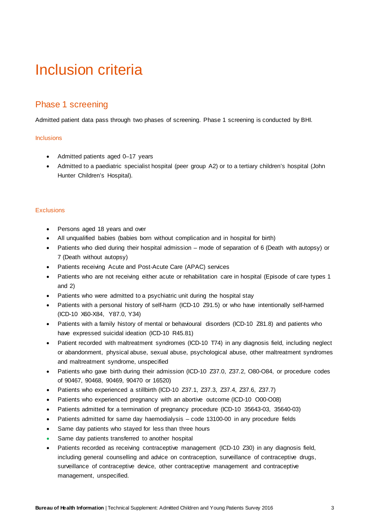## <span id="page-4-0"></span>Inclusion criteria

## <span id="page-4-1"></span>Phase 1 screening

Admitted patient data pass through two phases of screening. Phase 1 screening is conducted by BHI.

## **Inclusions**

- Admitted patients aged 0–17 years
- Admitted to a paediatric specialist hospital (peer group A2) or to a tertiary children's hospital (John Hunter Children's Hospital).

## **Exclusions**

- Persons aged 18 years and over
- All unqualified babies (babies born without complication and in hospital for birth)
- Patients who died during their hospital admission mode of separation of 6 (Death with autopsy) or 7 (Death without autopsy)
- Patients receiving Acute and Post-Acute Care (APAC) services
- Patients who are not receiving either acute or rehabilitation care in hospital (Episode of care types 1 and 2)
- Patients who were admitted to a psychiatric unit during the hospital stay
- Patients with a personal history of self-harm (ICD-10 Z91.5) or who have intentionally self-harmed (ICD-10 X60-X84, Y87.0, Y34)
- Patients with a family history of mental or behavioural disorders (ICD-10 Z81.8) and patients who have expressed suicidal ideation (ICD-10 R45.81)
- Patient recorded with maltreatment syndromes (ICD-10 T74) in any diagnosis field, including neglect or abandonment, physical abuse, sexual abuse, psychological abuse, other maltreatment syndromes and maltreatment syndrome, unspecified
- Patients who gave birth during their admission (ICD-10 Z37.0, Z37.2, O80-O84, or procedure codes of 90467, 90468, 90469, 90470 or 16520)
- Patients who experienced a stillbirth (ICD-10 Z37.1, Z37.3, Z37.4, Z37.6, Z37.7)
- Patients who experienced pregnancy with an abortive outcome (ICD-10 O00-O08)
- Patients admitted for a termination of pregnancy procedure (ICD-10 35643-03, 35640-03)
- Patients admitted for same day haemodialysis code 13100-00 in any procedure fields
- Same day patients who stayed for less than three hours
- Same day patients transferred to another hospital
- Patients recorded as receiving contraceptive management (ICD-10 Z30) in any diagnosis field, including general counselling and advice on contraception, surveillance of contraceptive drugs, surveillance of contraceptive device, other contraceptive management and contraceptive management, unspecified.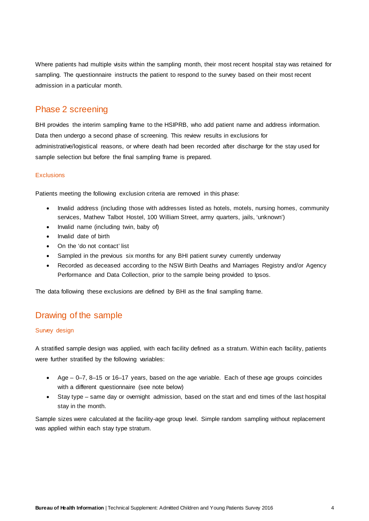Where patients had multiple visits within the sampling month, their most recent hospital stay was retained for sampling. The questionnaire instructs the patient to respond to the survey based on their most recent admission in a particular month.

## <span id="page-5-0"></span>Phase 2 screening

BHI provides the interim sampling frame to the HSIPRB, who add patient name and address information. Data then undergo a second phase of screening. This review results in exclusions for administrative/logistical reasons, or where death had been recorded after discharge for the stay used for sample selection but before the final sampling frame is prepared.

## **Exclusions**

Patients meeting the following exclusion criteria are removed in this phase:

- Invalid address (including those with addresses listed as hotels, motels, nursing homes, community services, Mathew Talbot Hostel, 100 William Street, army quarters, jails, 'unknown')
- Invalid name (including twin, baby of)
- Invalid date of birth
- On the 'do not contact' list
- Sampled in the previous six months for any BHI patient survey currently underway
- Recorded as deceased according to the NSW Birth Deaths and Marriages Registry and/or Agency Performance and Data Collection, prior to the sample being provided to Ipsos.

The data following these exclusions are defined by BHI as the final sampling frame.

## <span id="page-5-1"></span>Drawing of the sample

## Survey design

A stratified sample design was applied, with each facility defined as a stratum. Within each facility, patients were further stratified by the following variables:

- Age 0–7, 8–15 or 16–17 years, based on the age variable. Each of these age groups coincides with a different questionnaire (see note below)
- Stay type same day or overnight admission, based on the start and end times of the last hospital stay in the month.

Sample sizes were calculated at the facility-age group level. Simple random sampling without replacement was applied within each stay type stratum.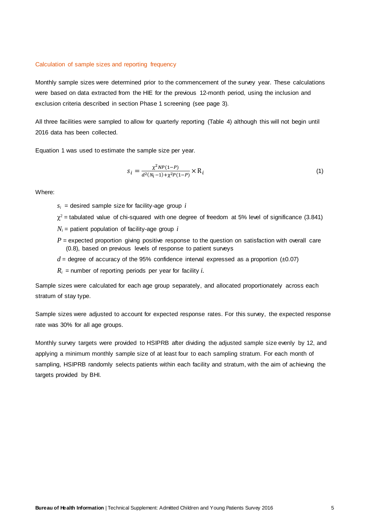### Calculation of sample sizes and reporting frequency

Monthly sample sizes were determined prior to the commencement of the survey year. These calculations were based on data extracted from the HIE for the previous 12-month period, using the inclusion and exclusion criteria described in section Phase 1 screening (see page 3).

All three facilities were sampled to allow for quarterly reporting (Table 4) although this will not begin until 2016 data has been collected.

Equation 1 was used to estimate the sample size per year.

$$
s_i = \frac{\chi^2 NP(1-P)}{d^2(N_i-1) + \chi^2 P(1-P)} \times R_i
$$
\n(1)

Where:

 $s_i$  = desired sample size for facility-age group  $i$ 

- $\chi^2$  = tabulated value of chi-squared with one degree of freedom at 5% level of significance (3.841)
- $N_i$  = patient population of facility-age group *i*
- $P$  = expected proportion giving positive response to the question on satisfaction with overall care (0.8), based on previous levels of response to patient surveys
- $d$  = degree of accuracy of the 95% confidence interval expressed as a proportion  $(±0.07)$
- $R_i$  = number of reporting periods per year for facility *i*.

Sample sizes were calculated for each age group separately, and allocated proportionately across each stratum of stay type.

Sample sizes were adjusted to account for expected response rates. For this survey, the expected response rate was 30% for all age groups.

Monthly survey targets were provided to HSIPRB after dividing the adjusted sample size evenly by 12, and applying a minimum monthly sample size of at least four to each sampling stratum. For each month of sampling, HSIPRB randomly selects patients within each facility and stratum, with the aim of achieving the targets provided by BHI.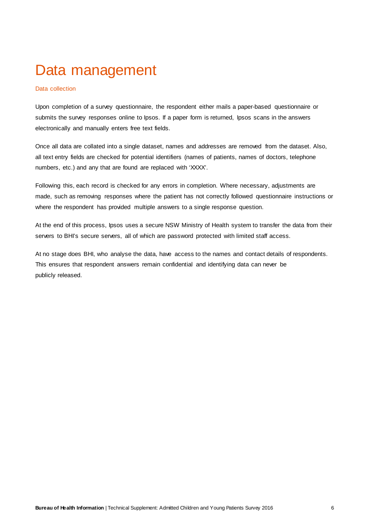## <span id="page-7-0"></span>Data management

## Data collection

Upon completion of a survey questionnaire, the respondent either mails a paper-based questionnaire or submits the survey responses online to Ipsos. If a paper form is returned, Ipsos scans in the answers electronically and manually enters free text fields.

Once all data are collated into a single dataset, names and addresses are removed from the dataset. Also, all text entry fields are checked for potential identifiers (names of patients, names of doctors, telephone numbers, etc.) and any that are found are replaced with 'XXXX'.

Following this, each record is checked for any errors in completion. Where necessary, adjustments are made, such as removing responses where the patient has not correctly followed questionnaire instructions or where the respondent has provided multiple answers to a single response question.

At the end of this process, Ipsos uses a secure NSW Ministry of Health system to transfer the data from their servers to BHI's secure servers, all of which are password protected with limited staff access.

At no stage does BHI, who analyse the data, have access to the names and contact details of respondents. This ensures that respondent answers remain confidential and identifying data can never be publicly released.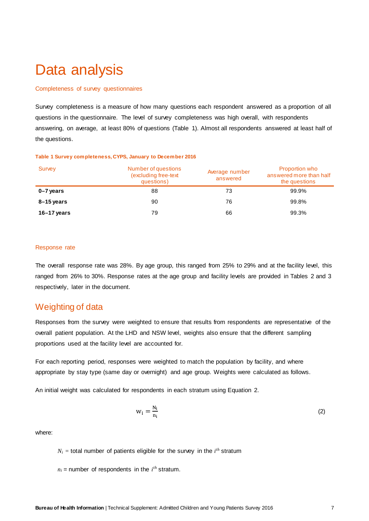## <span id="page-8-0"></span>Data analysis

### Completeness of survey questionnaires

Survey completeness is a measure of how many questions each respondent answered as a proportion of all questions in the questionnaire. The level of survey completeness was high overall, with respondents answering, on average, at least 80% of questions (Table 1). Almost all respondents answered at least half of the questions.

| Survey      | Number of questions<br>(excluding free-text<br>questions) | Average number<br>answered | Proportion who<br>answered more than half<br>the questions |  |  |
|-------------|-----------------------------------------------------------|----------------------------|------------------------------------------------------------|--|--|
| 0-7 years   | 88                                                        |                            | 99.9%                                                      |  |  |
| 8–15 years  |                                                           | 76                         | 99.8%                                                      |  |  |
| 16–17 years |                                                           | 66                         | 99.3%                                                      |  |  |

#### **Table 1 Survey completeness, CYPS, January to December 2016**

### Response rate

The overall response rate was 28%. By age group, this ranged from 25% to 29% and at the facility level, this ranged from 26% to 30%. Response rates at the age group and facility levels are provided in Tables 2 and 3 respectively, later in the document.

## <span id="page-8-1"></span>Weighting of data

Responses from the survey were weighted to ensure that results from respondents are representative of the overall patient population. At the LHD and NSW level, weights also ensure that the different sampling proportions used at the facility level are accounted for.

For each reporting period, responses were weighted to match the population by facility, and where appropriate by stay type (same day or overnight) and age group. Weights were calculated as follows.

An initial weight was calculated for respondents in each stratum using Equation 2.

$$
w_i = \frac{N_i}{n_i} \tag{2}
$$

where:

 $N_i$  = total number of patients eligible for the survey in the  $i^{th}$  stratum

 $n_i$  = number of respondents in the  $i^{th}$  stratum.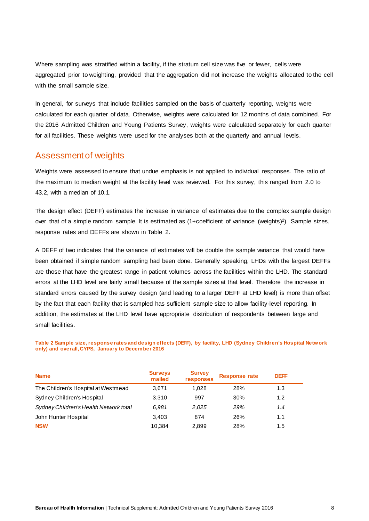Where sampling was stratified within a facility, if the stratum cell size was five or fewer, cells were aggregated prior to weighting, provided that the aggregation did not increase the weights allocated to the cell with the small sample size.

In general, for surveys that include facilities sampled on the basis of quarterly reporting, weights were calculated for each quarter of data. Otherwise, weights were calculated for 12 months of data combined. For the 2016 Admitted Children and Young Patients Survey, weights were calculated separately for each quarter for all facilities. These weights were used for the analyses both at the quarterly and annual levels.

## <span id="page-9-0"></span>Assessment of weights

Weights were assessed to ensure that undue emphasis is not applied to individual responses. The ratio of the maximum to median weight at the facility level was reviewed. For this survey, this ranged from 2.0 to 43.2, with a median of 10.1.

The design effect (DEFF) estimates the increase in variance of estimates due to the complex sample design over that of a simple random sample. It is estimated as (1+coefficient of variance (weights)<sup>2</sup>). Sample sizes, response rates and DEFFs are shown in Table 2.

A DEFF of two indicates that the variance of estimates will be double the sample variance that would have been obtained if simple random sampling had been done. Generally speaking, LHDs with the largest DEFFs are those that have the greatest range in patient volumes across the facilities within the LHD. The standard errors at the LHD level are fairly small because of the sample sizes at that level. Therefore the increase in standard errors caused by the survey design (and leading to a larger DEFF at LHD level) is more than offset by the fact that each facility that is sampled has sufficient sample size to allow facility-level reporting. In addition, the estimates at the LHD level have appropriate distribution of respondents between large and small facilities.

**Table 2 Sample size, response rates and design effects (DEFF), by facility, LHD (Sydney Children's Hospital Network only) and overall, CYPS, January to December 2016**

| <b>Name</b>                            | Surveys<br>mailed | <b>Survey<br/>responses</b> | <b>Response rate</b> | DFFF |
|----------------------------------------|-------------------|-----------------------------|----------------------|------|
| The Children's Hospital at Westmead    | 3.671             | 1.028                       | 28%                  |      |
| Sydney Children's Hospital             | 3.310             |                             | 30%                  |      |
| Sydney Children's Health Network total | 6.981             | 2.025                       | 29%                  |      |
| John Hunter Hospital                   | 3.403             |                             | ንፍ%                  |      |
| <b>NSW</b>                             |                   |                             |                      |      |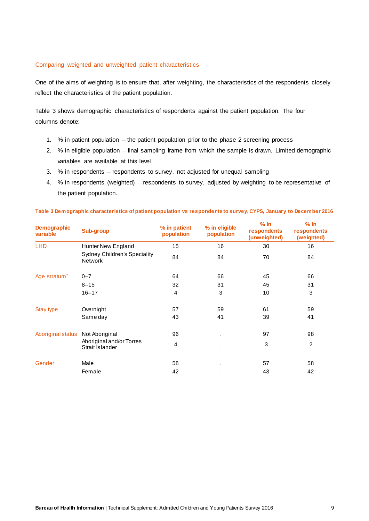## Comparing weighted and unweighted patient characteristics

One of the aims of weighting is to ensure that, after weighting, the characteristics of the respondents closely reflect the characteristics of the patient population.

Table 3 shows demographic characteristics of respondents against the patient population. The four columns denote:

- 1. % in patient population the patient population prior to the phase 2 screening process
- 2. % in eligible population final sampling frame from which the sample is drawn. Limited demographic variables are available at this level
- 3. % in respondents respondents to survey, not adjusted for unequal sampling
- 4. % in respondents (weighted) respondents to survey, adjusted by weighting to be representative of the patient population.

| <b>Demographic</b><br>variable   | <b>Sub-group</b>                                      | % in patient<br>population | % in eligible<br>population | $%$ in<br>respondents<br>(unweighted) (weighted) | $%$ in<br>respondents |
|----------------------------------|-------------------------------------------------------|----------------------------|-----------------------------|--------------------------------------------------|-----------------------|
| LHD                              | Hunter New England                                    | 15                         | 16                          | 30                                               | 16                    |
|                                  | <b>Sydney Children's Speciality</b><br><b>Network</b> | 84                         | 84                          | 70                                               | 84                    |
|                                  |                                                       |                            |                             |                                                  |                       |
| Age stratum <sup>2</sup>         | $0 - 7$                                               | 64                         | 66                          | 45                                               | 66                    |
|                                  | $8 - 15$                                              | 32                         | 31                          | 45                                               | 31                    |
|                                  | $16 - 17$                                             | Δ                          | 3                           | 10                                               | З                     |
| Stay type                        | Overnight                                             | 57                         | 59                          | 61                                               | 59                    |
|                                  | Same day                                              | 43                         | 41                          | 39                                               | 41                    |
| Aboriginal status Not Aboriginal |                                                       | 96                         |                             | 97                                               | 98                    |
|                                  | Aboriginal and/or Torres<br>Strait Islander           |                            |                             | 3                                                |                       |
|                                  |                                                       |                            |                             |                                                  |                       |
| Gender                           | Male                                                  | 58                         |                             | 57                                               | 58                    |
|                                  | Female                                                | 42                         |                             | 43                                               | 42                    |

### **Table 3 Demographic characteristics of patient population vs respondents to survey, CYPS, January to December 2016**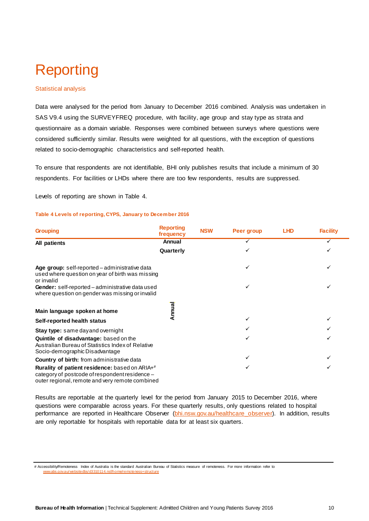# <span id="page-11-0"></span>Reporting

### Statistical analysis

Data were analysed for the period from January to December 2016 combined. Analysis was undertaken in SAS V9.4 using the SURVEYFREQ procedure, with facility, age group and stay type as strata and questionnaire as a domain variable. Responses were combined between surveys where questions were considered sufficiently similar. Results were weighted for all questions, with the exception of questions related to socio-demographic characteristics and self-reported health.

To ensure that respondents are not identifiable, BHI only publishes results that include a minimum of 30 respondents. For facilities or LHDs where there are too few respondents, results are suppressed.

Levels of reporting are shown in Table 4.

#### **Table 4 Levels of reporting, CYPS, January to December 2016**

| <b>Grouping</b>                                                                                                                                     | <b>Reporting</b><br>frequency | <b>NSW</b> | Peer group | <b>LHD</b> | <b>Facility</b> |
|-----------------------------------------------------------------------------------------------------------------------------------------------------|-------------------------------|------------|------------|------------|-----------------|
| All patients                                                                                                                                        | Annual                        |            |            |            |                 |
|                                                                                                                                                     | Quarterly                     |            |            |            |                 |
| Age group: self-reported - administrative data<br>used where question on year of birth was missing<br>or invalid                                    |                               |            |            |            |                 |
| Gender: self-reported - administrative data used<br>where question on gender was missing or invalid                                                 |                               |            |            |            |                 |
| Main language spoken at home                                                                                                                        | Annua                         |            |            |            |                 |
| Self-reported health status                                                                                                                         |                               |            |            |            |                 |
| <b>Stay type:</b> same day and overnight                                                                                                            |                               |            |            |            |                 |
| Quintile of disadvantage: based on the<br>Australian Bureau of Statistics Index of Relative<br>Socio-demographic Disadvantage                       |                               |            |            |            |                 |
| Country of birth: from administrative data                                                                                                          |                               |            |            |            |                 |
| Rurality of patient residence: based on ARIA+#<br>category of postcode of respondent residence -<br>outer regional, remote and very remote combined |                               |            |            |            |                 |

Results are reportable at the quarterly level for the period from January 2015 to December 2016, where questions were comparable across years. For these quarterly results, only questions related to hospital performance are reported in Healthcare Observer (bhi.nsw.gov.au/healthcare observer). In addition, results are only reportable for hospitals with reportable data for at least six quarters.

# Accessibility/Remoteness Index of Australia is the standard Australian Bureau of Statistics measure of remoteness. For more information refer to [www.abs.gov.au/websitedbs/d3310114.nsf/home/remoteness+structure](http://www.abs.gov.au/websitedbs/d3310114.nsf/home/remoteness+structure)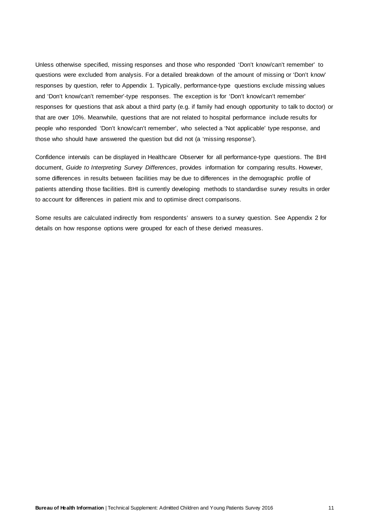Unless otherwise specified, missing responses and those who responded 'Don't know/can't remember' to questions were excluded from analysis. For a detailed breakdown of the amount of missing or 'Don't know' responses by question, refer to Appendix 1. Typically, performance-type questions exclude missing values and 'Don't know/can't remember'-type responses. The exception is for 'Don't know/can't remember' responses for questions that ask about a third party (e.g. if family had enough opportunity to talk to doctor) or that are over 10%. Meanwhile, questions that are not related to hospital performance include results for people who responded 'Don't know/can't remember', who selected a 'Not applicable' type response, and those who should have answered the question but did not (a 'missing response').

Confidence intervals can be displayed in Healthcare Observer for all performance-type questions. The BHI document, *[Guide to Interpreting Survey Differences](http://bhi.nsw.gov.au/__data/assets/pdf_file/0006/248055/AAPS_Guide_to_interpreting_differences_Nov14.pdf)*, provides information for comparing results. However, some differences in results between facilities may be due to differences in the demographic profile of patients attending those facilities. BHI is currently developing methods to standardise survey results in order to account for differences in patient mix and to optimise direct comparisons.

Some results are calculated indirectly from respondents' answers to a survey question. See Appendix 2 for details on how response options were grouped for each of these derived measures.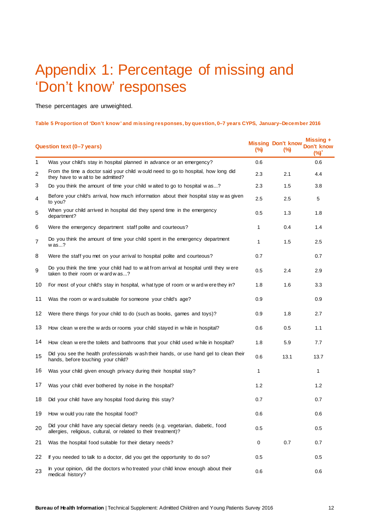## <span id="page-13-0"></span>Appendix 1: Percentage of missing and 'Don't know' responses

These percentages are unweighted.

#### **Table 5 Proportion of 'Don't know' and missing responses, by question, 0–7 years CYPS, January–December 2016**

|    | Question text (0-7 years)                                                                                                                         | (%)          | <b>Missing Don't know</b><br>$\frac{6}{2}$ | Missing +<br>Don't know<br>$(%)^*$ |
|----|---------------------------------------------------------------------------------------------------------------------------------------------------|--------------|--------------------------------------------|------------------------------------|
| 1  | Was your child's stay in hospital planned in advance or an emergency?                                                                             | 0.6          |                                            | 0.6                                |
| 2  | From the time a doctor said your child would need to go to hospital, how long did<br>they have to wait to be admitted?                            | 2.3          | 2.1                                        | 4.4                                |
| 3  | Do you think the amount of time your child waited to go to hospital was?                                                                          | 2.3          | 1.5                                        | 3.8                                |
| 4  | Before your child's arrival, how much information about their hospital stay was given<br>to you?                                                  | 2.5          | 2.5                                        | 5                                  |
| 5  | When your child arrived in hospital did they spend time in the emergency<br>department?                                                           | 0.5          | 1.3                                        | 1.8                                |
| 6  | Were the emergency department staff polite and courteous?                                                                                         | $\mathbf{1}$ | 0.4                                        | 1.4                                |
| 7  | Do you think the amount of time your child spent in the emergency department<br>$w$ as?                                                           | $\mathbf{1}$ | 1.5                                        | $2.5\,$                            |
| 8  | Were the staff you met on your arrival to hospital polite and courteous?                                                                          | 0.7          |                                            | 0.7                                |
| 9  | Do you think the time your child had to wait from arrival at hospital until they were<br>taken to their room or w ard w as?                       | 0.5          | 2.4                                        | 2.9                                |
| 10 | For most of your child's stay in hospital, what type of room or ward were they in?                                                                | 1.8          | 1.6                                        | 3.3                                |
| 11 | Was the room or w ard suitable for someone your child's age?                                                                                      | 0.9          |                                            | 0.9                                |
| 12 | Were there things for your child to do (such as books, games and toys)?                                                                           | 0.9          | 1.8                                        | 2.7                                |
| 13 | How clean were the wards or rooms your child stayed in while in hospital?                                                                         | 0.6          | 0.5                                        | 1.1                                |
| 14 | How clean were the toilets and bathrooms that your child used while in hospital?                                                                  | 1.8          | 5.9                                        | 7.7                                |
| 15 | Did you see the health professionals wash their hands, or use hand gel to clean their<br>hands, before touching your child?                       | 0.6          | 13.1                                       | 13.7                               |
| 16 | Was your child given enough privacy during their hospital stay?                                                                                   | 1            |                                            | 1                                  |
| 17 | Was your child ever bothered by noise in the hospital?                                                                                            | 1.2          |                                            | 1.2                                |
| 18 | Did your child have any hospital food during this stay?                                                                                           | 0.7          |                                            | 0.7                                |
| 19 | How would you rate the hospital food?                                                                                                             | 0.6          |                                            | 0.6                                |
| 20 | Did your child have any special dietary needs (e.g. vegetarian, diabetic, food<br>allergies, religious, cultural, or related to their treatment)? | 0.5          |                                            | 0.5                                |
| 21 | Was the hospital food suitable for their dietary needs?                                                                                           | 0            | 0.7                                        | 0.7                                |
| 22 | If you needed to talk to a doctor, did you get the opportunity to do so?                                                                          | 0.5          |                                            | 0.5                                |
| 23 | In your opinion, did the doctors who treated your child know enough about their<br>medical history?                                               | 0.6          |                                            | 0.6                                |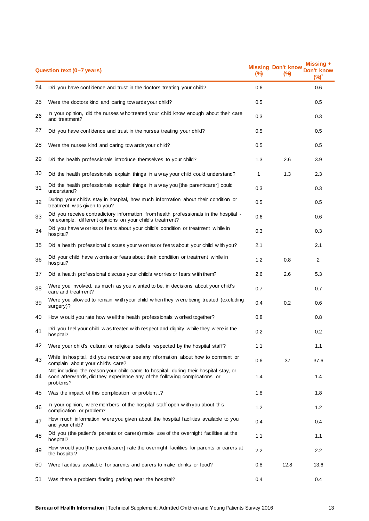|    | Question text (0-7 years)                                                                                                                                                         | (%)          | <b>Missing Don't know</b><br>(%) | Missina +<br>Don't know<br>(%) |
|----|-----------------------------------------------------------------------------------------------------------------------------------------------------------------------------------|--------------|----------------------------------|--------------------------------|
| 24 | Did you have confidence and trust in the doctors treating your child?                                                                                                             | 0.6          |                                  | 0.6                            |
| 25 | Were the doctors kind and caring tow ards your child?                                                                                                                             | 0.5          |                                  | 0.5                            |
| 26 | In your opinion, did the nurses w ho treated your child know enough about their care<br>and treatment?                                                                            | 0.3          |                                  | 0.3                            |
| 27 | Did you have confidence and trust in the nurses treating your child?                                                                                                              | 0.5          |                                  | 0.5                            |
| 28 | Were the nurses kind and caring tow ards your child?                                                                                                                              | 0.5          |                                  | 0.5                            |
| 29 | Did the health professionals introduce themselves to your child?                                                                                                                  | 1.3          | 2.6                              | 3.9                            |
| 30 | Did the health professionals explain things in a way your child could understand?                                                                                                 | $\mathbf{1}$ | 1.3                              | 2.3                            |
| 31 | Did the health professionals explain things in a way you [the parent/carer] could<br>understand?                                                                                  | 0.3          |                                  | 0.3                            |
| 32 | During your child's stay in hospital, how much information about their condition or<br>treatment was given to you?                                                                | 0.5          |                                  | 0.5                            |
| 33 | Did you receive contradictory information from health professionals in the hospital -<br>for example, different opinions on your child's treatment?                               | 0.6          |                                  | 0.6                            |
| 34 | Did you have w orries or fears about your child's condition or treatment while in<br>hospital?                                                                                    | 0.3          |                                  | 0.3                            |
| 35 | Did a health professional discuss your w orries or fears about your child with you?                                                                                               | 2.1          |                                  | 2.1                            |
| 36 | Did your child have worries or fears about their condition or treatment while in<br>hospital?                                                                                     | 1.2          | 0.8                              | $\overline{c}$                 |
| 37 | Did a health professional discuss your child's w orries or fears with them?                                                                                                       | 2.6          | 2.6                              | 5.3                            |
| 38 | Were you involved, as much as you w anted to be, in decisions about your child's<br>care and treatment?                                                                           | 0.7          |                                  | 0.7                            |
| 39 | Were you allow ed to remain with your child when they were being treated (excluding<br>surgery)?                                                                                  | 0.4          | 0.2                              | 0.6                            |
| 40 | How would you rate how well the health professionals worked together?                                                                                                             | 0.8          |                                  | 0.8                            |
| 41 | Did you feel your child was treated with respect and dignity while they were in the<br>hospital?                                                                                  | 0.2          |                                  | 0.2                            |
| 42 | Were your child's cultural or religious beliefs respected by the hospital staff?                                                                                                  | 1.1          |                                  | 1.1                            |
| 43 | While in hospital, did you receive or see any information about how to comment or<br>complain about your child's care?                                                            | 0.6          | 37                               | 37.6                           |
| 44 | Not including the reason your child came to hospital, during their hospital stay, or<br>soon afterw ards, did they experience any of the follow ing complications or<br>problems? | 1.4          |                                  | 1.4                            |
| 45 | Was the impact of this complication or problem?                                                                                                                                   | 1.8          |                                  | 1.8                            |
| 46 | In your opinion, were members of the hospital staff open with you about this<br>complication or problem?                                                                          | 1.2          |                                  | 1.2                            |
| 47 | How much information were you given about the hospital facilities available to you<br>and your child?                                                                             | 0.4          |                                  | 0.4                            |
| 48 | Did you (the patient's parents or carers) make use of the overnight facilities at the<br>hospital?                                                                                | 1.1          |                                  | 1.1                            |
| 49 | How would you [the parent/carer] rate the overnight facilities for parents or carers at<br>the hospital?                                                                          | 2.2          |                                  | 2.2                            |
| 50 | Were facilities available for parents and carers to make drinks or food?                                                                                                          | 0.8          | 12.8                             | 13.6                           |
| 51 | Was there a problem finding parking near the hospital?                                                                                                                            | 0.4          |                                  | 0.4                            |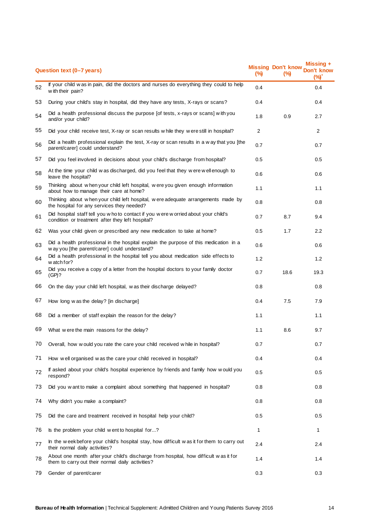|    | Question text (0-7 years)                                                                                                                | (%)            | <b>Missing Don't know</b><br>(%) | Missing $+$<br>Don't know<br>$(\%)^{\prime}$ |
|----|------------------------------------------------------------------------------------------------------------------------------------------|----------------|----------------------------------|----------------------------------------------|
| 52 | If your child w as in pain, did the doctors and nurses do everything they could to help<br>with their pain?                              | 0.4            |                                  | 0.4                                          |
| 53 | During your child's stay in hospital, did they have any tests, X-rays or scans?                                                          | 0.4            |                                  | 0.4                                          |
| 54 | Did a health professional discuss the purpose [of tests, x-rays or scans] with you<br>and/or your child?                                 | 1.8            | 0.9                              | 2.7                                          |
| 55 | Did your child receive test, X-ray or scan results while they were still in hospital?                                                    | $\overline{2}$ |                                  | $\overline{2}$                               |
| 56 | Did a health professional explain the test, X-ray or scan results in a w ay that you [the<br>parent/carer] could understand?             | 0.7            |                                  | 0.7                                          |
| 57 | Did you feel involved in decisions about your child's discharge from hospital?                                                           | 0.5            |                                  | 0.5                                          |
| 58 | At the time your child was discharged, did you feel that they were well enough to<br>leave the hospital?                                 | 0.6            |                                  | 0.6                                          |
| 59 | Thinking about when your child left hospital, were you given enough information<br>about how to manage their care at home?               | 1.1            |                                  | 1.1                                          |
| 60 | Thinking about w hen your child left hospital, w ere adequate arrangements made by<br>the hospital for any services they needed?         | 0.8            |                                  | 0.8                                          |
| 61 | Did hospital staff tell you who to contact if you were worried about your child's<br>condition or treatment after they left hospital?    | 0.7            | 8.7                              | 9.4                                          |
| 62 | Was your child given or prescribed any new medication to take at home?                                                                   | 0.5            | 1.7                              | 2.2                                          |
| 63 | Did a health professional in the hospital explain the purpose of this medication in a<br>w ay you [the parent/carer] could understand?   | 0.6            |                                  | 0.6                                          |
| 64 | Did a health professional in the hospital tell you about medication side effects to<br>watch for?                                        | 1.2            |                                  | 1.2                                          |
| 65 | Did you receive a copy of a letter from the hospital doctors to your family doctor<br>(GP)?                                              | 0.7            | 18.6                             | 19.3                                         |
| 66 | On the day your child left hospital, was their discharge delayed?                                                                        | 0.8            |                                  | 0.8                                          |
| 67 | How long was the delay? [in discharge]                                                                                                   | 0.4            | 7.5                              | 7.9                                          |
| 68 | Did a member of staff explain the reason for the delay?                                                                                  | 1.1            |                                  | 1.1                                          |
| 69 | What were the main reasons for the delay?                                                                                                | 1.1            | 8.6                              | 9.7                                          |
| 70 | Overall, how would you rate the care your child received while in hospital?                                                              | 0.7            |                                  | 0.7                                          |
| 71 | How well organised was the care your child received in hospital?                                                                         | 0.4            |                                  | 0.4                                          |
| 72 | If asked about your child's hospital experience by friends and family how would you<br>respond?                                          | 0.5            |                                  | 0.5                                          |
| 73 | Did you w ant to make a complaint about something that happened in hospital?                                                             | 0.8            |                                  | 0.8                                          |
| 74 | Why didn't you make a complaint?                                                                                                         | 0.8            |                                  | 0.8                                          |
| 75 | Did the care and treatment received in hospital help your child?                                                                         | 0.5            |                                  | 0.5                                          |
| 76 | Is the problem your child went to hospital for?                                                                                          | $\mathbf{1}$   |                                  | 1                                            |
| 77 | In the weekbefore your child's hospital stay, how difficult was it for them to carry out<br>their normal daily activities?               | 2.4            |                                  | 2.4                                          |
| 78 | About one month after your child's discharge from hospital, how difficult was it for<br>them to carry out their normal daily activities? | 1.4            |                                  | 1.4                                          |
| 79 | Gender of parent/carer                                                                                                                   | 0.3            |                                  | 0.3                                          |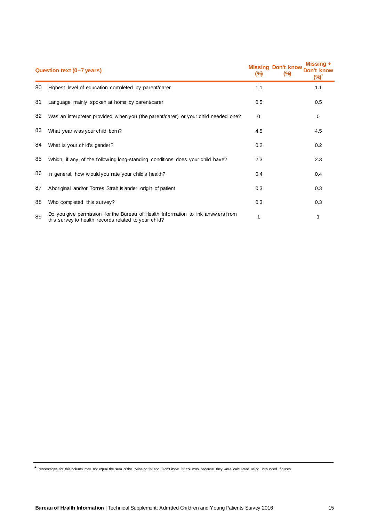|    | Question text (0–7 years)                                                                                                                |          | <b>Missing Don't know</b><br>$(\%)$ | Missing +<br>Don't know<br>$(\%)$ |
|----|------------------------------------------------------------------------------------------------------------------------------------------|----------|-------------------------------------|-----------------------------------|
| 80 | Highest level of education completed by parent/carer                                                                                     | 1.1      |                                     | 1.1                               |
| 81 | Language mainly spoken at home by parent/carer                                                                                           | 0.5      |                                     | 0.5                               |
| 82 | Was an interpreter provided when you (the parent/carer) or your child needed one?                                                        | $\Omega$ |                                     | 0                                 |
| 83 | What year was your child born?                                                                                                           | 4.5      |                                     | 4.5                               |
| 84 | What is your child's gender?                                                                                                             | 0.2      |                                     | 0.2                               |
| 85 | Which, if any, of the following long-standing conditions does your child have?                                                           | 2.3      |                                     | 2.3                               |
| 86 | In general, how would you rate your child's health?                                                                                      | 0.4      |                                     | 0.4                               |
| 87 | Aboriginal and/or Torres Strait Islander origin of patient                                                                               | 0.3      |                                     | 0.3                               |
| 88 | Who completed this survey?                                                                                                               | 0.3      |                                     | 0.3                               |
| 89 | Do you give permission for the Bureau of Health Information to link answers from<br>this survey to health records related to your child? |          |                                     |                                   |

\* Percentages for this column may not equal the sum of the 'Missing %' and 'Don't know %' columns because they were calculated using unrounded figures.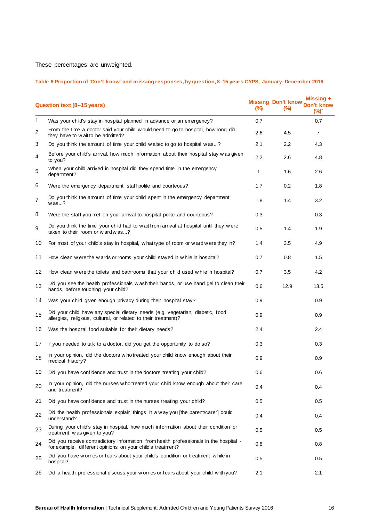These percentages are unweighted.

## **Table 6 Proportion of 'Don't know' and missing responses, by question, 8–15 years CYPS, January–December 2016**

|    | Question text (8-15 years)                                                                                                                          | (%) | <b>Missing Don't know</b><br>$\frac{6}{2}$ | Missing +<br>Don't know<br>(%)* |
|----|-----------------------------------------------------------------------------------------------------------------------------------------------------|-----|--------------------------------------------|---------------------------------|
| 1  | Was your child's stay in hospital planned in advance or an emergency?                                                                               | 0.7 |                                            | 0.7                             |
| 2  | From the time a doctor said your child would need to go to hospital, how long did<br>they have to wait to be admitted?                              | 2.6 | 4.5                                        | $\overline{7}$                  |
| 3  | Do you think the amount of time your child waited to go to hospital was?                                                                            | 2.1 | 2.2                                        | 4.3                             |
| 4  | Before your child's arrival, how much information about their hospital stay was given<br>to you?                                                    | 2.2 | 2.6                                        | 4.8                             |
| 5  | When your child arrived in hospital did they spend time in the emergency<br>department?                                                             | 1   | 1.6                                        | 2.6                             |
| 6  | Were the emergency department staff polite and courteous?                                                                                           | 1.7 | 0.2                                        | 1.8                             |
| 7  | Do you think the amount of time your child spent in the emergency department<br>$w$ as?                                                             | 1.8 | 1.4                                        | 3.2                             |
| 8  | Were the staff you met on your arrival to hospital polite and courteous?                                                                            | 0.3 |                                            | 0.3                             |
| 9  | Do you think the time your child had to wait from arrival at hospital until they were<br>taken to their room or w ard w as?                         | 0.5 | 1.4                                        | 1.9                             |
| 10 | For most of your child's stay in hospital, what type of room or ward were they in?                                                                  | 1.4 | 3.5                                        | 4.9                             |
| 11 | How clean were the wards or rooms your child stayed in while in hospital?                                                                           | 0.7 | 0.8                                        | 1.5                             |
| 12 | How clean were the toilets and bathrooms that your child used while in hospital?                                                                    | 0.7 | 3.5                                        | 4.2                             |
| 13 | Did you see the health professionals wash their hands, or use hand gel to clean their<br>hands, before touching your child?                         | 0.6 | 12.9                                       | 13.5                            |
| 14 | Was your child given enough privacy during their hospital stay?                                                                                     | 0.9 |                                            | 0.9                             |
| 15 | Did your child have any special dietary needs (e.g. vegetarian, diabetic, food<br>allergies, religious, cultural, or related to their treatment)?   | 0.9 |                                            | 0.9                             |
| 16 | Was the hospital food suitable for their dietary needs?                                                                                             | 2.4 |                                            | 2.4                             |
| 17 | If you needed to talk to a doctor, did you get the opportunity to do so?                                                                            | 0.3 |                                            | 0.3                             |
| 18 | In your opinion, did the doctors who treated your child know enough about their<br>medical history?                                                 | 0.9 |                                            | 0.9                             |
| 19 | Did you have confidence and trust in the doctors treating your child?                                                                               | 0.6 |                                            | 0.6                             |
| 20 | In your opinion, did the nurses w ho treated your child know enough about their care<br>and treatment?                                              | 0.4 |                                            | 0.4                             |
| 21 | Did you have confidence and trust in the nurses treating your child?                                                                                | 0.5 |                                            | 0.5                             |
| 22 | Did the health professionals explain things in a way you [the parent/carer] could<br>understand?                                                    | 0.4 |                                            | 0.4                             |
| 23 | During your child's stay in hospital, how much information about their condition or<br>treatment was given to you?                                  | 0.5 |                                            | 0.5                             |
| 24 | Did you receive contradictory information from health professionals in the hospital -<br>for example, different opinions on your child's treatment? | 0.8 |                                            | 0.8                             |
| 25 | Did you have w orries or fears about your child's condition or treatment while in<br>hospital?                                                      | 0.5 |                                            | 0.5                             |
| 26 | Did a health professional discuss your w orries or fears about your child with you?                                                                 | 2.1 |                                            | 2.1                             |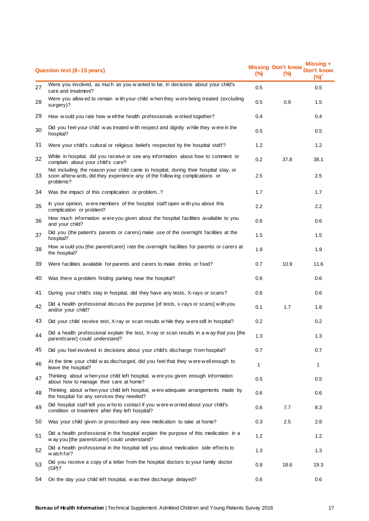|    | Question text (8-15 years)                                                                                                                                                       | $(\%)$       | <b>Missing Don't know</b><br>(%) | Missing $+$<br>Don't know<br>$(\%)^*$ |
|----|----------------------------------------------------------------------------------------------------------------------------------------------------------------------------------|--------------|----------------------------------|---------------------------------------|
| 27 | Were you involved, as much as you w anted to be, in decisions about your child's<br>care and treatment?                                                                          | 0.5          |                                  | 0.5                                   |
| 28 | Were you allow ed to remain with your child when they were being treated (excluding<br>surgery)?                                                                                 | 0.5          | 0.9                              | 1.5                                   |
| 29 | How would you rate how well the health professionals worked together?                                                                                                            | 0.4          |                                  | 0.4                                   |
| 30 | Did you feel your child was treated with respect and dignity while they were in the<br>hospital?                                                                                 | 0.5          |                                  | 0.5                                   |
| 31 | Were your child's cultural or religious beliefs respected by the hospital staff?                                                                                                 | 1.2          |                                  | 1.2                                   |
| 32 | While in hospital, did you receive or see any information about how to comment or<br>complain about your child's care?                                                           | 0.2          | 37.8                             | 38.1                                  |
| 33 | Not including the reason your child came to hospital, during their hospital stay, or<br>soon afterw ards, did they experience any of the following complications or<br>problems? | 2.5          |                                  | 2.5                                   |
| 34 | Was the impact of this complication or problem?                                                                                                                                  | 1.7          |                                  | 1.7                                   |
| 35 | In your opinion, were members of the hospital staff open with you about this<br>complication or problem?                                                                         | $2.2\,$      |                                  | $2.2\phantom{0}$                      |
| 36 | How much information were you given about the hospital facilities available to you<br>and your child?                                                                            | 0.6          |                                  | 0.6                                   |
| 37 | Did you (the patient's parents or carers) make use of the overnight facilities at the<br>hospital?                                                                               | 1.5          |                                  | 1.5                                   |
| 38 | How would you [the parent/carer] rate the overnight facilities for parents or carers at<br>the hospital?                                                                         | 1.9          |                                  | 1.9                                   |
| 39 | Were facilities available for parents and carers to make drinks or food?                                                                                                         | 0.7          | 10.9                             | 11.6                                  |
| 40 | Was there a problem finding parking near the hospital?                                                                                                                           | 0.6          |                                  | 0.6                                   |
| 41 | During your child's stay in hospital, did they have any tests, X-rays or scans?                                                                                                  | 0.6          |                                  | 0.6                                   |
| 42 | Did a health professional discuss the purpose [of tests, x-rays or scans] with you<br>and/or your child?                                                                         | 0.1          | 1.7                              | 1.8                                   |
| 43 | Did your child receive test, X-ray or scan results while they were still in hospital?                                                                                            | 0.2          |                                  | 0.2                                   |
| 44 | Did a health professional explain the test, X-ray or scan results in a way that you [the<br>parent/carer] could understand?                                                      | 1.3          |                                  | 1.3                                   |
| 45 | Did you feel involved in decisions about your child's discharge from hospital?                                                                                                   | 0.7          |                                  | 0.7                                   |
| 46 | At the time your child was discharged, did you feel that they were well enough to<br>leave the hospital?                                                                         | $\mathbf{1}$ |                                  | 1                                     |
| 47 | Thinking about when your child left hospital, were you given enough information<br>about how to manage their care at home?                                                       | 0.5          |                                  | 0.5                                   |
| 48 | Thinking about w hen your child left hospital, w ere adequate arrangements made by<br>the hospital for any services they needed?                                                 | 0.6          |                                  | 0.6                                   |
| 49 | Did hospital staff tell you who to contact if you were worried about your child's<br>condition or treatment after they left hospital?                                            | 0.6          | 7.7                              | 8.3                                   |
| 50 | Was your child given or prescribed any new medication to take at home?                                                                                                           | 0.3          | 2.5                              | 2.8                                   |
| 51 | Did a health professional in the hospital explain the purpose of this medication in a<br>w ay you [the parent/carer] could understand?                                           | 1.2          |                                  | 1.2                                   |
| 52 | Did a health professional in the hospital tell you about medication side effects to<br>watch for?                                                                                | 1.3          |                                  | 1.3                                   |
| 53 | Did you receive a copy of a letter from the hospital doctors to your family doctor<br>(GP)?                                                                                      | 0.8          | 18.6                             | 19.3                                  |
| 54 | On the day your child left hospital, was their discharge delayed?                                                                                                                | 0.6          |                                  | 0.6                                   |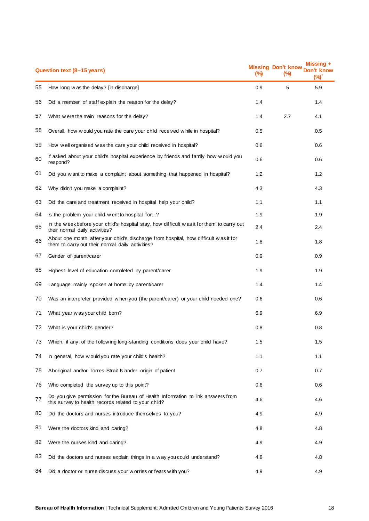|    | Question text (8-15 years)                                                                                                               | $\frac{9}{9}$ | <b>Missing Don't know</b><br>(%) | <b>Missing +</b><br>Don't know<br>$(\%)$ |
|----|------------------------------------------------------------------------------------------------------------------------------------------|---------------|----------------------------------|------------------------------------------|
| 55 | How long w as the delay? [in discharge]                                                                                                  | 0.9           | 5                                | 5.9                                      |
| 56 | Did a member of staff explain the reason for the delay?                                                                                  | 1.4           |                                  | 1.4                                      |
| 57 | What were the main reasons for the delay?                                                                                                | 1.4           | 2.7                              | 4.1                                      |
| 58 | Overall, how would you rate the care your child received while in hospital?                                                              | 0.5           |                                  | 0.5                                      |
| 59 | How well organised was the care your child received in hospital?                                                                         | 0.6           |                                  | 0.6                                      |
| 60 | If asked about your child's hospital experience by friends and family how would you<br>respond?                                          | 0.6           |                                  | 0.6                                      |
| 61 | Did you w ant to make a complaint about something that happened in hospital?                                                             | 1.2           |                                  | 1.2                                      |
| 62 | Why didn't you make a complaint?                                                                                                         | 4.3           |                                  | 4.3                                      |
| 63 | Did the care and treatment received in hospital help your child?                                                                         | 1.1           |                                  | 1.1                                      |
| 64 | Is the problem your child went to hospital for?                                                                                          | 1.9           |                                  | 1.9                                      |
| 65 | In the weekbefore your child's hospital stay, how difficult was it for them to carry out<br>their normal daily activities?               | 2.4           |                                  | 2.4                                      |
| 66 | About one month after your child's discharge from hospital, how difficult was it for<br>them to carry out their normal daily activities? | 1.8           |                                  | 1.8                                      |
| 67 | Gender of parent/carer                                                                                                                   | 0.9           |                                  | 0.9                                      |
| 68 | Highest level of education completed by parent/carer                                                                                     | 1.9           |                                  | 1.9                                      |
| 69 | Language mainly spoken at home by parent/carer                                                                                           | 1.4           |                                  | 1.4                                      |
| 70 | Was an interpreter provided when you (the parent/carer) or your child needed one?                                                        | 0.6           |                                  | 0.6                                      |
| 71 | What year was your child born?                                                                                                           | 6.9           |                                  | 6.9                                      |
| 72 | What is your child's gender?                                                                                                             | 0.8           |                                  | 0.8                                      |
| 73 | Which, if any, of the following long-standing conditions does your child have?                                                           | 1.5           |                                  | 1.5                                      |
| 74 | In general, how would you rate your child's health?                                                                                      | 1.1           |                                  | 1.1                                      |
| 75 | Aboriginal and/or Torres Strait Islander origin of patient                                                                               | 0.7           |                                  | 0.7                                      |
| 76 | Who completed the survey up to this point?                                                                                               | 0.6           |                                  | 0.6                                      |
| 77 | Do you give permission for the Bureau of Health Information to link answers from<br>this survey to health records related to your child? | 4.6           |                                  | 4.6                                      |
| 80 | Did the doctors and nurses introduce themselves to you?                                                                                  | 4.9           |                                  | 4.9                                      |
| 81 | Were the doctors kind and caring?                                                                                                        | 4.8           |                                  | 4.8                                      |
| 82 | Were the nurses kind and caring?                                                                                                         | 4.9           |                                  | 4.9                                      |
| 83 | Did the doctors and nurses explain things in a way you could understand?                                                                 | 4.8           |                                  | 4.8                                      |
| 84 | Did a doctor or nurse discuss your w orries or fears with you?                                                                           | 4.9           |                                  | 4.9                                      |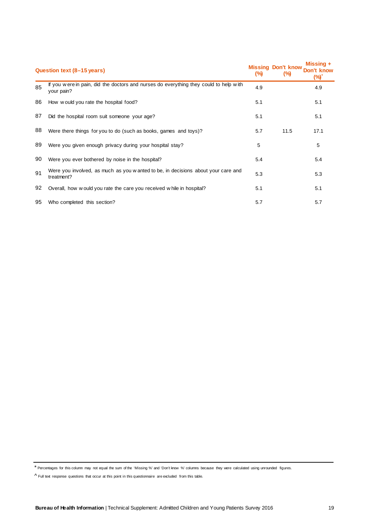| Question text (8–15 years) |                                                                                                     |     | <b>Missing Don't know</b><br>(%) | Missing +<br>Don't know<br>(%)' |
|----------------------------|-----------------------------------------------------------------------------------------------------|-----|----------------------------------|---------------------------------|
| 85                         | If you were in pain, did the doctors and nurses do everything they could to help with<br>your pain? | 4.9 |                                  | 4.9                             |
| 86                         | How would you rate the hospital food?                                                               | 5.1 |                                  | 5.1                             |
| 87                         | Did the hospital room suit someone your age?                                                        | 5.1 |                                  | 5.1                             |
| 88                         | Were there things for you to do (such as books, games and toys)?                                    | 5.7 | 11.5                             | 17.1                            |
| 89                         | Were you given enough privacy during your hospital stay?                                            | 5   |                                  | 5                               |
| 90                         | Were you ever bothered by noise in the hospital?                                                    | 5.4 |                                  | 5.4                             |
| 91                         | Were you involved, as much as you w anted to be, in decisions about your care and<br>treatment?     | 5.3 |                                  | 5.3                             |
| 92                         | Overall, how would you rate the care you received while in hospital?                                | 5.1 |                                  | 5.1                             |
| 95                         | Who completed this section?                                                                         | 5.7 |                                  | 5.7                             |

<sup>\*</sup> Percentages for this column may not equal the sum of the 'Missing %' and 'Don't know %' columns because they were calculated using unrounded figures.

 $\wedge$  Full text response questions that occur at this point in this questionnaire are excluded from this table.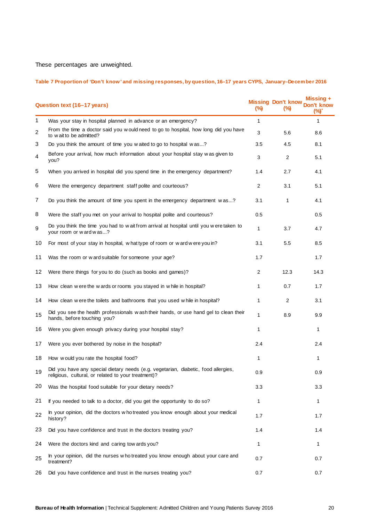These percentages are unweighted.

## **Table 7 Proportion of 'Don't know' and missing responses, by question, 16–17 years CYPS, January–December 2016**

| Question text (16-17 years) |                                                                                                                                           |                | <b>Missing Don't know</b><br>$\frac{1}{2}$ | Missing +<br>on't know<br>$(\%)$ |
|-----------------------------|-------------------------------------------------------------------------------------------------------------------------------------------|----------------|--------------------------------------------|----------------------------------|
| 1                           | Was your stay in hospital planned in advance or an emergency?                                                                             | $\mathbf{1}$   |                                            | $\mathbf{1}$                     |
| 2                           | From the time a doctor said you w ould need to go to hospital, how long did you have<br>to wait to be admitted?                           | 3              | 5.6                                        | 8.6                              |
| З                           | Do you think the amount of time you waited to go to hospital was?                                                                         | 3.5            | 4.5                                        | 8.1                              |
| 4                           | Before your arrival, how much information about your hospital stay was given to<br>you?                                                   | 3              | $\overline{2}$                             | 5.1                              |
| 5                           | When you arrived in hospital did you spend time in the emergency department?                                                              | 1.4            | 2.7                                        | 4.1                              |
| 6                           | Were the emergency department staff polite and courteous?                                                                                 | $\overline{2}$ | 3.1                                        | 5.1                              |
| 7                           | Do you think the amount of time you spent in the emergency department was?                                                                | 3.1            | 1                                          | 4.1                              |
| 8                           | Were the staff you met on your arrival to hospital polite and courteous?                                                                  | 0.5            |                                            | 0.5                              |
| 9                           | Do you think the time you had to wait from arrival at hospital until you were taken to<br>your room or ward was?                          | 1              | 3.7                                        | 4.7                              |
| 10                          | For most of your stay in hospital, what type of room or ward were you in?                                                                 | 3.1            | 5.5                                        | 8.5                              |
| 11                          | Was the room or w ard suitable for someone your age?                                                                                      | 1.7            |                                            | 1.7                              |
| 12                          | Were there things for you to do (such as books and games)?                                                                                | 2              | 12.3                                       | 14.3                             |
| 13                          | How clean were the wards or rooms you stayed in while in hospital?                                                                        |                | 0.7                                        | 1.7                              |
| 14                          | How clean were the toilets and bathrooms that you used while in hospital?                                                                 | 1              | $\overline{2}$                             | 3.1                              |
| 15                          | Did you see the health professionals wash their hands, or use hand gel to clean their<br>hands, before touching you?                      | 1              | 8.9                                        | 9.9                              |
| 16                          | Were you given enough privacy during your hospital stay?                                                                                  |                |                                            | 1                                |
| 17                          | Were you ever bothered by noise in the hospital?                                                                                          | 2.4            |                                            | 2.4                              |
| 18                          | How would you rate the hospital food?                                                                                                     | 1              |                                            |                                  |
| 19                          | Did you have any special dietary needs (e.g. vegetarian, diabetic, food allergies,<br>religious, cultural, or related to your treatment)? | 0.9            |                                            | 0.9                              |
| 20                          | Was the hospital food suitable for your dietary needs?                                                                                    | 3.3            |                                            | 3.3                              |
| 21                          | If you needed to talk to a doctor, did you get the opportunity to do so?                                                                  | 1              |                                            | 1                                |
| 22                          | In your opinion, did the doctors who treated you know enough about your medical<br>history?                                               | 1.7            |                                            | 1.7                              |
| 23                          | Did you have confidence and trust in the doctors treating you?                                                                            | 1.4            |                                            | 1.4                              |
| 24                          | Were the doctors kind and caring tow ards you?                                                                                            | 1              |                                            | 1                                |
| 25                          | In your opinion, did the nurses who treated you know enough about your care and<br>treatment?                                             | 0.7            |                                            | 0.7                              |
| 26                          | Did you have confidence and trust in the nurses treating you?                                                                             | 0.7            |                                            | 0.7                              |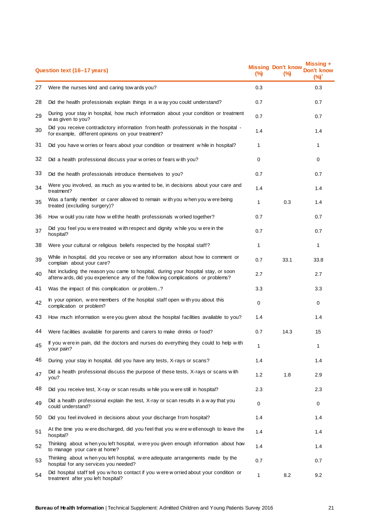| Question text (16-17 years) |                                                                                                                                                                      |              | <b>Missing Don't know</b><br>(%) | Missing +<br>Don't know<br>(%) |
|-----------------------------|----------------------------------------------------------------------------------------------------------------------------------------------------------------------|--------------|----------------------------------|--------------------------------|
| 27                          | Were the nurses kind and caring tow ards you?                                                                                                                        | 0.3          |                                  | 0.3                            |
| 28                          | Did the health professionals explain things in a way you could understand?                                                                                           | 0.7          |                                  | 0.7                            |
| 29                          | During your stay in hospital, how much information about your condition or treatment<br>w as given to you?                                                           | 0.7          |                                  | 0.7                            |
| 30                          | Did you receive contradictory information from health professionals in the hospital -<br>for example, different opinions on your treatment?                          | 1.4          |                                  | 1.4                            |
| 31                          | Did you have w orries or fears about your condition or treatment w hile in hospital?                                                                                 | $\mathbf{1}$ |                                  | 1                              |
| 32                          | Did a health professional discuss your w orries or fears with you?                                                                                                   | 0            |                                  | 0                              |
| 33                          | Did the health professionals introduce themselves to you?                                                                                                            | 0.7          |                                  | 0.7                            |
| 34                          | Were you involved, as much as you w anted to be, in decisions about your care and<br>treatment?                                                                      | 1.4          |                                  | 1.4                            |
| 35                          | Was a family member or carer allow ed to remain with you when you were being<br>treated (excluding surgery)?                                                         | 1            | 0.3                              | 1.4                            |
| 36                          | How would you rate how well the health professionals worked together?                                                                                                | 0.7          |                                  | 0.7                            |
| 37                          | Did you feel you were treated with respect and dignity while you were in the<br>hospital?                                                                            | 0.7          |                                  | 0.7                            |
| 38                          | Were your cultural or religious beliefs respected by the hospital staff?                                                                                             | $\mathbf{1}$ |                                  | 1                              |
| 39                          | While in hospital, did you receive or see any information about how to comment or<br>complain about your care?                                                       | 0.7          | 33.1                             | 33.8                           |
| 40                          | Not including the reason you came to hospital, during your hospital stay, or soon<br>afterw ards, did you experience any of the following complications or problems? | 2.7          |                                  | 2.7                            |
| 41                          | Was the impact of this complication or problem?                                                                                                                      | 3.3          |                                  | 3.3                            |
| 42                          | In your opinion, were members of the hospital staff open with you about this<br>complication or problem?                                                             | $\Omega$     |                                  | $\Omega$                       |
| 43                          | How much information were you given about the hospital facilities available to you?                                                                                  | 1.4          |                                  | 1.4                            |
| 44                          | Were facilities available for parents and carers to make drinks or food?                                                                                             | 0.7          | 14.3                             | 15                             |
| 45                          | If you were in pain, did the doctors and nurses do everything they could to help with<br>your pain?                                                                  | 1            |                                  | 1                              |
| 46                          | During your stay in hospital, did you have any tests, X-rays or scans?                                                                                               | 1.4          |                                  | 1.4                            |
| 47                          | Did a health professional discuss the purpose of these tests, X-rays or scans with<br>you?                                                                           | 1.2          | 1.8                              | 2.9                            |
| 48                          | Did you receive test, X-ray or scan results while you were still in hospital?                                                                                        | 2.3          |                                  | 2.3                            |
| 49                          | Did a health professional explain the test, X-ray or scan results in a way that you<br>could understand?                                                             | $\Omega$     |                                  | $\Omega$                       |
| 50                          | Did you feel involved in decisions about your discharge from hospital?                                                                                               | 1.4          |                                  | 1.4                            |
| 51                          | At the time you were discharged, did you feel that you were well enough to leave the<br>hospital?                                                                    | 1.4          |                                  | 1.4                            |
| 52                          | Thinking about when you left hospital, were you given enough information about how<br>to manage your care at home?                                                   | 1.4          |                                  | 1.4                            |
| 53                          | Thinking about w hen you left hospital, w ere adequate arrangements made by the<br>hospital for any services you needed?                                             | 0.7          |                                  | 0.7                            |
| 54                          | Did hospital staff tell you w ho to contact if you w ere w orried about your condition or<br>treatment after you left hospital?                                      | 1            | 8.2                              | 9.2                            |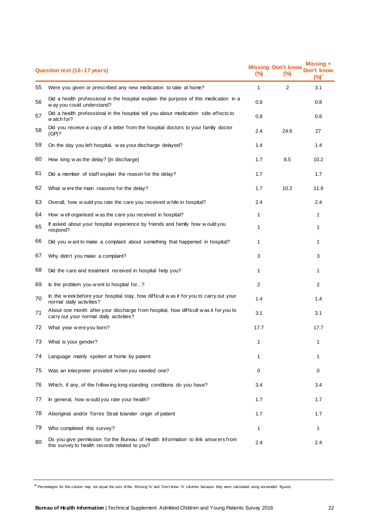| Question text (16-17 years) |                                                                                                                                   |              | <b>Missing Don't know</b><br>(%) | Missing +<br>Don't know<br>$(\%)^*$ |
|-----------------------------|-----------------------------------------------------------------------------------------------------------------------------------|--------------|----------------------------------|-------------------------------------|
| 55                          | Were you given or prescribed any new medication to take at home?                                                                  | $\mathbf 1$  | $\overline{2}$                   | 3.1                                 |
| 56                          | Did a health professional in the hospital explain the purpose of this medication in a<br>w ay you could understand?               | 0.8          |                                  | 0.8                                 |
| 57                          | Did a health professional in the hospital tell you about medication side effects to<br>watch for?                                 | 0.8          |                                  | 0.8                                 |
| 58                          | Did you receive a copy of a letter from the hospital doctors to your family doctor<br>(GP)?                                       | 2.4          | 24.6                             | 27                                  |
| 59                          | On the day you left hospital, was your discharge delayed?                                                                         | 1.4          |                                  | 1.4                                 |
| 60                          | How long w as the delay? [in discharge]                                                                                           | 1.7          | 8.5                              | 10.2                                |
| 61                          | Did a member of staff explain the reason for the delay?                                                                           | 1.7          |                                  | 1.7                                 |
| 62                          | What were the main reasons for the delay?                                                                                         | 1.7          | 10.2                             | 11.9                                |
| 63                          | Overall, how would you rate the care you received while in hospital?                                                              | 2.4          |                                  | 2.4                                 |
| 64                          | How well organised was the care you received in hospital?                                                                         | 1            |                                  | 1                                   |
| 65                          | If asked about your hospital experience by friends and family how would you<br>respond?                                           | $\mathbf{1}$ |                                  | 1                                   |
| 66                          | Did you w ant to make a complaint about something that happened in hospital?                                                      | 1            |                                  | 1                                   |
| 67                          | Why didn't you make a complaint?                                                                                                  | 3            |                                  | 3                                   |
| 68                          | Did the care and treatment received in hospital help you?                                                                         | 1            |                                  | 1                                   |
| 69                          | Is the problem you w ent to hospital for?                                                                                         | 2            |                                  | 2                                   |
| 70                          | In the weekbefore your hospital stay, how difficult was it for you to carry out your<br>normal daily activities?                  | 1.4          |                                  | 1.4                                 |
| 71                          | About one month after your discharge from hospital, how difficult was it for you to<br>carry out your normal daily activities?    | 3.1          |                                  | 3.1                                 |
| 72                          | What year were you born?                                                                                                          | 17.7         |                                  | 17.7                                |
| 73                          | What is your gender?                                                                                                              |              |                                  |                                     |
| 74                          | Language mainly spoken at home by patient                                                                                         | 1            |                                  | 1                                   |
| 75                          | Was an interpreter provided when you needed one?                                                                                  | 0            |                                  | 0                                   |
| 76                          | Which, if any, of the follow ing long-standing conditions do you have?                                                            | 3.4          |                                  | 3.4                                 |
| 77                          | In general, how would you rate your health?                                                                                       | 1.7          |                                  | 1.7                                 |
| 78                          | Aboriginal and/or Torres Strait Islander origin of patient                                                                        | 1.7          |                                  | 1.7                                 |
| 79                          | Who completed this survey?                                                                                                        | 1            |                                  | 1                                   |
| 80                          | Do you give permission for the Bureau of Health Information to link answers from<br>this survey to health records related to you? | 2.4          |                                  | 2.4                                 |
|                             |                                                                                                                                   |              |                                  |                                     |

\* Percentages for this column may not equal the sum of the 'Missing %' and 'Don't know %' columns because they were calculated using unrounded figures.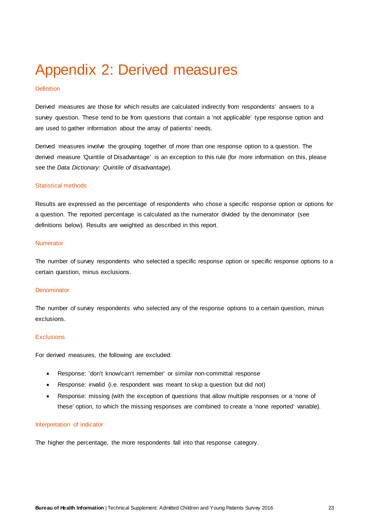## <span id="page-24-0"></span>Appendix 2: Derived measures

### **Definition**

Derived measures are those for which results are calculated indirectly from respondents' answers to a survey question. These tend to be from questions that contain a 'not applicable' type response option and are used to gather information about the array of patients' needs.

Derived measures involve the grouping together of more than one response option to a question. The derived measure 'Quintile of Disadvantage' is an exception to this rule (for more information on this, please see the *Data Dictionary: Quintile of disadvantage*).

### Statistical methods

Results are expressed as the percentage of respondents who chose a specific response option or options for a question. The reported percentage is calculated as the numerator divided by the denominator (see definitions below). Results are weighted as described in this report.

### Numerator

The number of survey respondents who selected a specific response option or specific response options to a certain question, minus exclusions.

### **Denominator**

The number of survey respondents who selected any of the response options to a certain question, minus exclusions.

### **Exclusions**

For derived measures, the following are excluded:

- Response: 'don't know/can't remember' or similar non-committal response
- Response: invalid (i.e. respondent was meant to skip a question but did not)
- Response: missing (with the exception of questions that allow multiple responses or a 'none of these' option, to which the missing responses are combined to create a 'none reported' variable).

### Interpretation of indicator

The higher the percentage, the more respondents fall into that response category.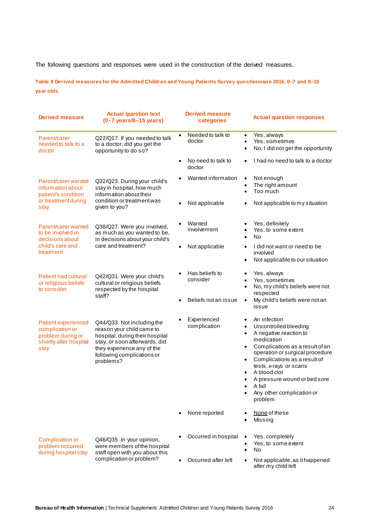The following questions and responses were used in the construction of the derived measures.

**Table 8 Derived measures for the Admitted Children and Young Patients Survey questionnaire 2016, 0–7 and 8–15 year olds**

| <b>Derived measure</b>                                                                                                                                            | <b>Actual question text</b><br>$(0-7 \text{ years}/8-15 \text{ years})$                                                                                                                              | <b>Derived measure</b><br>categories |                                                                                                                                                                                                                                                                                                                                                                                                                                                                                                                                                                                                                                                             |
|-------------------------------------------------------------------------------------------------------------------------------------------------------------------|------------------------------------------------------------------------------------------------------------------------------------------------------------------------------------------------------|--------------------------------------|-------------------------------------------------------------------------------------------------------------------------------------------------------------------------------------------------------------------------------------------------------------------------------------------------------------------------------------------------------------------------------------------------------------------------------------------------------------------------------------------------------------------------------------------------------------------------------------------------------------------------------------------------------------|
| Parent/carer<br>needed to talk to a<br>doctor                                                                                                                     | Q22/Q17. If you needed to talk<br>to a doctor, did you get the<br>opportunity to do so?                                                                                                              |                                      | Yes, always<br>$\bullet$<br>Yes, sometimes<br>No, I did not get the opportunity<br>$\bullet$                                                                                                                                                                                                                                                                                                                                                                                                                                                                                                                                                                |
|                                                                                                                                                                   |                                                                                                                                                                                                      | No need to talk to<br>doctor         | I had no need to talk to a doctor                                                                                                                                                                                                                                                                                                                                                                                                                                                                                                                                                                                                                           |
| Parent/carer wanted<br>Q32/Q23. During your child's<br>information about<br>stay in hospital, how much<br>information about their<br>patient's condition          |                                                                                                                                                                                                      | Wanted information                   | Not enough<br>$\bullet$<br>The right amount<br>$\bullet$<br>Too much<br>$\bullet$                                                                                                                                                                                                                                                                                                                                                                                                                                                                                                                                                                           |
| or treatment during<br>stay                                                                                                                                       | condition or treatment was<br>given to you?                                                                                                                                                          | Not applicable                       | Not applicable to my situation<br>٠<br>Yes, definitely<br>٠<br>Yes, to some extent<br>٠<br>No<br>$\bullet$<br>I did not want or need to be<br>$\bullet$<br>involved<br>Not applicable to our situation<br>$\bullet$<br>Yes, always<br>$\bullet$<br>Yes, sometimes<br>٠<br>No, my child's beliefs were not<br>$\bullet$<br>respected<br>My child's beliefs were not an<br>$\bullet$<br>issue<br>An infection<br>٠<br>Uncontrolled bleeding<br>$\bullet$<br>A negative reaction to<br>$\bullet$<br>medication<br>Complications as a result of an<br>operation or surgical procedure<br>Complications as a result of<br>tests, x-rays or scans<br>A blood clot |
| Parent/carer wanted<br>to be involved in<br>decisions about                                                                                                       | Q38/Q27. Were you involved,<br>as much as you wanted to be,<br>in decisions about your child's                                                                                                       | Wanted<br>involvement                |                                                                                                                                                                                                                                                                                                                                                                                                                                                                                                                                                                                                                                                             |
| child's care and<br>treatment                                                                                                                                     | care and treatment?                                                                                                                                                                                  | Not applicable                       | <b>Actual question responses</b><br>A pressure wound or bed sore<br>A fall<br>Any other complication or<br>problem<br>None of these<br>Missing<br>Yes, completely<br>Yes, to some extent<br>No<br>Not applicable, as it happened<br>after my child left                                                                                                                                                                                                                                                                                                                                                                                                     |
| Patient had cultural<br>Q42/Q31. Were your child's<br>cultural or religious beliefs<br>or religious beliefs<br>to consider<br>respected by the hospital<br>staff? | Has beliefs to<br>consider                                                                                                                                                                           |                                      |                                                                                                                                                                                                                                                                                                                                                                                                                                                                                                                                                                                                                                                             |
|                                                                                                                                                                   |                                                                                                                                                                                                      | Beliefs not an issue                 |                                                                                                                                                                                                                                                                                                                                                                                                                                                                                                                                                                                                                                                             |
| <b>Patient experienced</b><br>complication or<br>problem during or<br>shortly after hospital<br>stay                                                              | Q44/Q33. Not including the<br>reason your child came to<br>hospital, during their hospital<br>stay, or soon afterwards, did<br>they experience any of the<br>following complications or<br>problems? | Experienced<br>complication          |                                                                                                                                                                                                                                                                                                                                                                                                                                                                                                                                                                                                                                                             |
|                                                                                                                                                                   |                                                                                                                                                                                                      | None reported                        |                                                                                                                                                                                                                                                                                                                                                                                                                                                                                                                                                                                                                                                             |
| Complication or<br>problem occurred<br>during hospital stay                                                                                                       | Q46/Q35. In your opinion,<br>were members of the hospital<br>staff open with you about this                                                                                                          | Occurred in hospital                 |                                                                                                                                                                                                                                                                                                                                                                                                                                                                                                                                                                                                                                                             |
|                                                                                                                                                                   | complication or problem?                                                                                                                                                                             | Occurred after left                  |                                                                                                                                                                                                                                                                                                                                                                                                                                                                                                                                                                                                                                                             |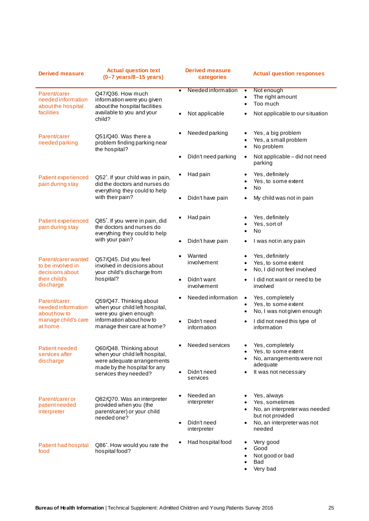| <b>Derived measure</b>                                      | <b>Actual question text</b><br>$(0-7 \text{ years}/8-15 \text{ years})$                                                 | <b>Derived measure</b><br>categories | <b>Actual question responses</b>                                                   |
|-------------------------------------------------------------|-------------------------------------------------------------------------------------------------------------------------|--------------------------------------|------------------------------------------------------------------------------------|
| Parent/carer<br>needed information<br>about the hospital    | Q47/Q36. How much<br>information were you given<br>about the hospital facilities                                        | Needed information<br>$\bullet$      | Not enough<br>The right amount<br>Too much                                         |
| facilities                                                  | available to you and your<br>child?                                                                                     | Not applicable                       | Not applicable to our situation                                                    |
| Parent/carer<br>needed parking                              | Q51/Q40. Was there a<br>problem finding parking near<br>the hospital?                                                   | Needed parking                       | Yes, a big problem<br>Yes, a small problem<br>No problem                           |
|                                                             |                                                                                                                         | Didn't need parking                  | Not applicable - did not need<br>٠<br>parking                                      |
| Patient experienced<br>pain during stay                     | Q52 <sup>*</sup> . If your child was in pain,<br>did the doctors and nurses do<br>everything they could to help         | Had pain                             | Yes, definitely<br>Yes, to some extent<br><b>No</b>                                |
|                                                             | with their pain?                                                                                                        | Didn't have pain                     | My child was not in pain                                                           |
| Patient experienced<br>pain during stay                     | Q85 <sup>*</sup> . If you were in pain, did<br>the doctors and nurses do<br>everything they could to help               | Had pain                             | Yes, definitely<br>Yes, sort of<br><b>No</b>                                       |
|                                                             | with your pain?                                                                                                         | Didn't have pain                     | I was not in any pain                                                              |
| Parent/carer wanted<br>to be involved in<br>decisions about | Q57/Q45. Did you feel<br>involved in decisions about<br>your child's discharge from                                     | Wanted<br>involvement                | Yes, definitely<br>Yes, to some extent<br>No, I did not feel involved              |
| their child's<br>discharge                                  | hospital?                                                                                                               | Didn't want<br>involvement           | I did not want or need to be<br>involved                                           |
| Parent/carer<br>needed information<br>about how to          | Q59/Q47. Thinking about<br>when your child left hospital,<br>were you given enough                                      | Needed information                   | Yes, completely<br>Yes, to some extent<br>No, I was not given enough               |
| manage child's care<br>at home                              | information about how to<br>manage their care at home?                                                                  | Didn't need<br>information           | I did not need this type of<br>information                                         |
| <b>Patient needed</b><br>services after<br>discharge        | Q60/Q48. Thinking about<br>when your child left hospital,<br>were adequate arrangements<br>made by the hospital for any | Needed services                      | Yes, completely<br>Yes, to some extent<br>No, arrangements were not<br>adequate    |
|                                                             | services they needed?                                                                                                   | Didn't need<br>services              | It was not necessary                                                               |
| Parent/carer or<br>patient needed<br>interpreter            | Q82/Q70. Was an interpreter<br>provided when you (the<br>parent/carer) or your child<br>needed one?                     | Needed an<br>interpreter             | Yes, always<br>Yes, sometimes<br>No, an interpreter was needed<br>but not provided |
|                                                             |                                                                                                                         | Didn't need<br>interpreter           | No, an interpreter was not<br>needed                                               |
| Patient had hospital<br>food                                | Q86 <sup>*</sup> . How would you rate the<br>hospital food?                                                             | Had hospital food                    | Very good<br>Good<br>Not good or bad<br>Bad<br>Very bad                            |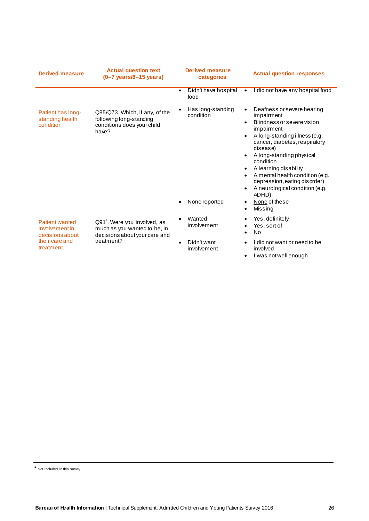| <b>Derived measure</b>                                    | <b>Actual question text</b><br>$(0-7 \text{ years}/8-15 \text{ years})$                                   | <b>Derived measure</b><br>categories | <b>Actual question responses</b>                                                                                                                                                                                                                                                                                                                                             |
|-----------------------------------------------------------|-----------------------------------------------------------------------------------------------------------|--------------------------------------|------------------------------------------------------------------------------------------------------------------------------------------------------------------------------------------------------------------------------------------------------------------------------------------------------------------------------------------------------------------------------|
|                                                           |                                                                                                           | Didn't have hospital<br>food         | I did not have any hospital food                                                                                                                                                                                                                                                                                                                                             |
| Patient has long-<br>standing health<br>condition         | Q85/Q73. Which, if any, of the<br>following long-standing<br>conditions does your child<br>have?          | Has long-standing<br>condition       | Deafness or severe hearing<br>$\bullet$<br>impairment<br>Blindness or severe vision<br>$\bullet$<br>impairment<br>A long-standing illness (e.g.<br>cancer, diabetes, respiratory<br>disease)<br>A long-standing physical<br>condition<br>A learning disability<br>A mental health condition (e.g.<br>depression, eating disorder)<br>A neurological condition (e.g.<br>ADHD) |
|                                                           |                                                                                                           | None reported                        | None of these<br>Missing                                                                                                                                                                                                                                                                                                                                                     |
| <b>Patient wanted</b><br>involvementin<br>decisions about | Q91 <sup>*</sup> . Were you involved, as<br>much as you wanted to be, in<br>decisions about your care and | Wanted<br>involvement                | Yes, definitely<br>Yes, sort of<br><b>No</b><br>I did not want or need to be                                                                                                                                                                                                                                                                                                 |
| their care and<br>treatment                               | treatment?                                                                                                | Didn't want<br>involvement           | involved<br>I was not well enough                                                                                                                                                                                                                                                                                                                                            |

\* Not included in this survey.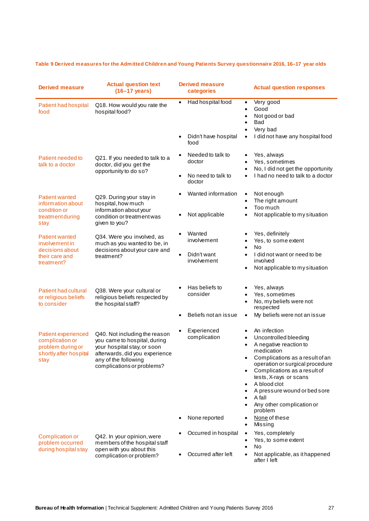## **Table 9 Derived measures for the Admitted Children and Young Patients Survey questionnaire 2016, 16–17 year olds**

| <b>Derived measure</b>                                                                               | <b>Actual question text</b><br>$(16-17 \text{ years})$                                                                                                                               | <b>Derived measure</b><br>categories         | <b>Actual question responses</b>                                                                                                                                                                                                                                                                                                              |
|------------------------------------------------------------------------------------------------------|--------------------------------------------------------------------------------------------------------------------------------------------------------------------------------------|----------------------------------------------|-----------------------------------------------------------------------------------------------------------------------------------------------------------------------------------------------------------------------------------------------------------------------------------------------------------------------------------------------|
| Patient had hospital<br>food                                                                         | Had hospital food<br>$\bullet$<br>Q18. How would you rate the<br>hospital food?                                                                                                      |                                              | Very good<br>$\bullet$<br>Good<br>Not good or bad<br>Bad<br>Very bad                                                                                                                                                                                                                                                                          |
|                                                                                                      |                                                                                                                                                                                      | Didn't have hospital<br>food                 | I did not have any hospital food<br>$\bullet$                                                                                                                                                                                                                                                                                                 |
| Patient needed to<br>talk to a doctor                                                                | Q21. If you needed to talk to a<br>doctor, did you get the<br>opportunity to do so?                                                                                                  | Needed to talk to<br>doctor                  | Yes, always<br>Yes, sometimes<br>No, I did not get the opportunity                                                                                                                                                                                                                                                                            |
|                                                                                                      |                                                                                                                                                                                      | No need to talk to<br>doctor                 | I had no need to talk to a doctor                                                                                                                                                                                                                                                                                                             |
| <b>Patient wanted</b><br>information about<br>condition or                                           | Q29. During your stay in<br>hospital, how much<br>information about your                                                                                                             | Wanted information                           | Not enough<br>٠<br>The right amount<br>Too much                                                                                                                                                                                                                                                                                               |
| treatment during<br>stay                                                                             | condition or treatment was<br>given to you?                                                                                                                                          | Not applicable                               | Not applicable to my situation                                                                                                                                                                                                                                                                                                                |
| <b>Patient wanted</b><br>involvementin<br>decisions about                                            | Q34. Were you involved, as<br>much as you wanted to be, in<br>decisions about your care and                                                                                          | Wanted<br>involvement                        | Yes, definitely<br>Yes, to some extent<br>No<br>$\bullet$                                                                                                                                                                                                                                                                                     |
| their care and<br>treatment?                                                                         | treatment?                                                                                                                                                                           | Didn't want<br>involvement                   | I did not want or need to be<br>$\bullet$<br>involved<br>Not applicable to my situation                                                                                                                                                                                                                                                       |
| Patient had cultural<br>or religious beliefs<br>to consider                                          | Q38. Were your cultural or<br>religious beliefs respected by<br>the hospital staff?                                                                                                  | Has beliefs to<br>consider                   | Yes, always<br>Yes, sometimes<br>No, my beliefs were not<br>respected                                                                                                                                                                                                                                                                         |
|                                                                                                      |                                                                                                                                                                                      | Beliefs not an issue                         | My beliefs were not an issue                                                                                                                                                                                                                                                                                                                  |
| <b>Patient experienced</b><br>complication or<br>problem during or<br>shortly after hospital<br>stay | Q40. Not including the reason<br>you came to hospital, during<br>your hospital stay, or soon<br>afterwards, did you experience<br>any of the following<br>complications or problems? | Experienced<br>complication<br>None reported | An infection<br>$\bullet$<br>Uncontrolled bleeding<br>A negative reaction to<br>medication<br>Complications as a result of an<br>operation or surgical procedure<br>Complications as a result of<br>tests, X-rays or scans<br>A blood clot<br>A pressure wound or bed sore<br>A fall<br>Any other complication or<br>problem<br>None of these |
|                                                                                                      |                                                                                                                                                                                      | Occurred in hospital                         | Missing<br>Yes, completely<br>$\bullet$                                                                                                                                                                                                                                                                                                       |
| Complication or<br>problem occurred<br>during hospital stay                                          | Q42. In your opinion, were<br>members of the hospital staff<br>open with you about this                                                                                              |                                              | Yes, to some extent<br>No                                                                                                                                                                                                                                                                                                                     |
|                                                                                                      | complication or problem?                                                                                                                                                             | Occurred after left                          | Not applicable, as it happened<br>after I left                                                                                                                                                                                                                                                                                                |